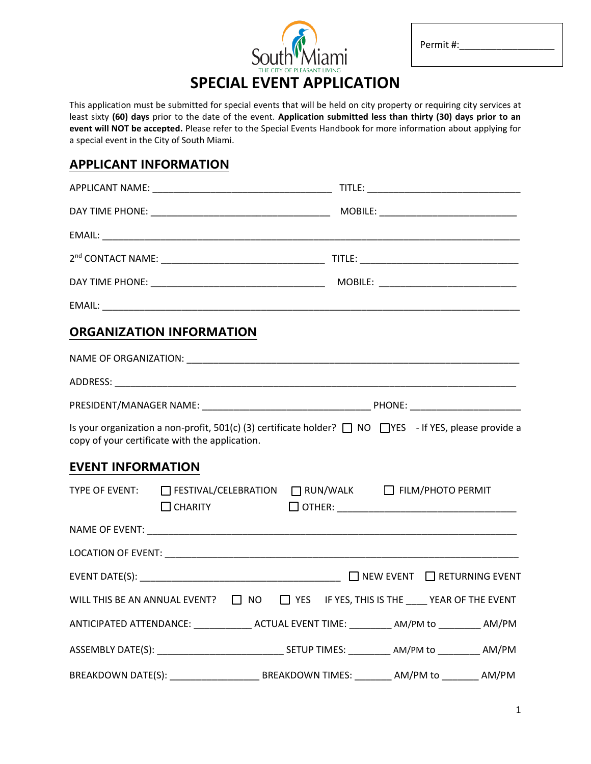

Permit #:

 $\overline{a}$ 

# **SPECIAL EVENT APPLICATION**

This application must be submitted for special events that will be held on city property or requiring city services at least sixty **(60) days** prior to the date of the event. **Application submitted less than thirty (30) days prior to an event will NOT be accepted.** Please refer to the Special Events Handbook for more information about applying for a special event in the City of South Miami.

# **APPLICANT INFORMATION**

|                          | <b>ORGANIZATION INFORMATION</b>                                                                                                                                     |  |  |  |
|--------------------------|---------------------------------------------------------------------------------------------------------------------------------------------------------------------|--|--|--|
|                          |                                                                                                                                                                     |  |  |  |
|                          |                                                                                                                                                                     |  |  |  |
|                          |                                                                                                                                                                     |  |  |  |
|                          | Is your organization a non-profit, 501(c) (3) certificate holder? $\Box$ NO $\Box$ YES - If YES, please provide a<br>copy of your certificate with the application. |  |  |  |
| <b>EVENT INFORMATION</b> |                                                                                                                                                                     |  |  |  |
|                          | TYPE OF EVENT: C FESTIVAL/CELEBRATION C RUN/WALK C FILM/PHOTO PERMIT<br>$\Box$ CHARITY                                                                              |  |  |  |
|                          |                                                                                                                                                                     |  |  |  |
|                          |                                                                                                                                                                     |  |  |  |
|                          |                                                                                                                                                                     |  |  |  |
|                          | WILL THIS BE AN ANNUAL EVENT? $\Box$ NO $\Box$ YES IF YES, THIS IS THE $\Box$ YEAR OF THE EVENT                                                                     |  |  |  |
|                          | ANTICIPATED ATTENDANCE: ______________ ACTUAL EVENT TIME: _________ AM/PM to ________ AM/PM                                                                         |  |  |  |
|                          |                                                                                                                                                                     |  |  |  |
|                          |                                                                                                                                                                     |  |  |  |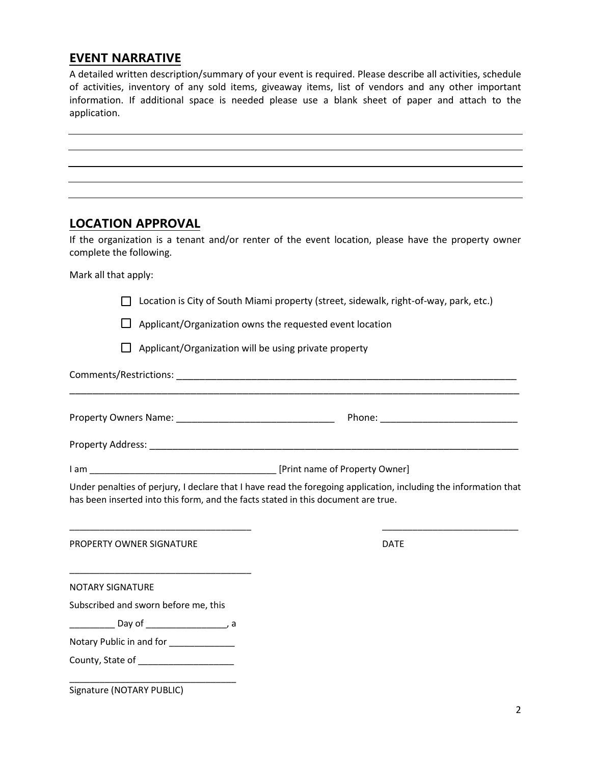# **EVENT NARRATIVE**

A detailed written description/summary of your event is required. Please describe all activities, schedule of activities, inventory of any sold items, giveaway items, list of vendors and any other important information. If additional space is needed please use a blank sheet of paper and attach to the application.

| application.                                                                      |                                                          |                                                                                                                  |
|-----------------------------------------------------------------------------------|----------------------------------------------------------|------------------------------------------------------------------------------------------------------------------|
|                                                                                   |                                                          |                                                                                                                  |
|                                                                                   |                                                          |                                                                                                                  |
|                                                                                   |                                                          |                                                                                                                  |
|                                                                                   |                                                          |                                                                                                                  |
| <b>LOCATION APPROVAL</b>                                                          |                                                          |                                                                                                                  |
| complete the following.                                                           |                                                          | If the organization is a tenant and/or renter of the event location, please have the property owner              |
| Mark all that apply:                                                              |                                                          |                                                                                                                  |
|                                                                                   |                                                          | Location is City of South Miami property (street, sidewalk, right-of-way, park, etc.)                            |
|                                                                                   | Applicant/Organization owns the requested event location |                                                                                                                  |
|                                                                                   | Applicant/Organization will be using private property    |                                                                                                                  |
|                                                                                   |                                                          |                                                                                                                  |
|                                                                                   |                                                          |                                                                                                                  |
|                                                                                   |                                                          |                                                                                                                  |
|                                                                                   |                                                          |                                                                                                                  |
|                                                                                   |                                                          |                                                                                                                  |
| has been inserted into this form, and the facts stated in this document are true. |                                                          | Under penalties of perjury, I declare that I have read the foregoing application, including the information that |
| PROPERTY OWNER SIGNATURE                                                          |                                                          | DATE                                                                                                             |
| <b>NOTARY SIGNATURE</b>                                                           |                                                          |                                                                                                                  |
| Subscribed and sworn before me, this                                              |                                                          |                                                                                                                  |
|                                                                                   |                                                          |                                                                                                                  |
| Notary Public in and for _____________                                            |                                                          |                                                                                                                  |

County, State of \_\_\_\_\_\_\_\_\_\_\_\_\_\_\_\_\_\_\_

\_\_\_\_\_\_\_\_\_\_\_\_\_\_\_\_\_\_\_\_\_\_\_\_\_\_\_\_\_\_\_\_\_

Signature (NOTARY PUBLIC)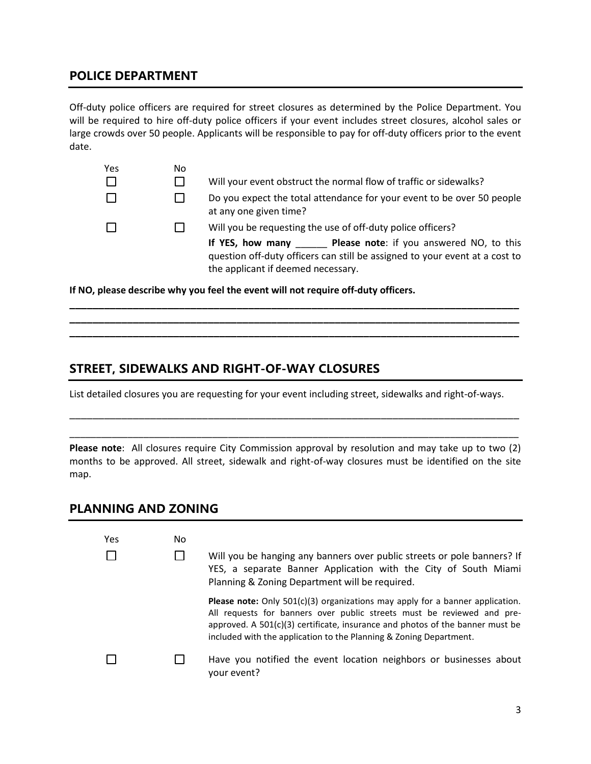# **POLICE DEPARTMENT**

Off-duty police officers are required for street closures as determined by the Police Department. You will be required to hire off-duty police officers if your event includes street closures, alcohol sales or large crowds over 50 people. Applicants will be responsible to pay for off-duty officers prior to the event date.

| Yes | No |                                                                                                                                                                                   |
|-----|----|-----------------------------------------------------------------------------------------------------------------------------------------------------------------------------------|
|     |    | Will your event obstruct the normal flow of traffic or sidewalks?                                                                                                                 |
|     |    | Do you expect the total attendance for your event to be over 50 people<br>at any one given time?                                                                                  |
|     |    | Will you be requesting the use of off-duty police officers?                                                                                                                       |
|     |    | Please note: if you answered NO, to this<br>If YES, how many<br>question off-duty officers can still be assigned to your event at a cost to<br>the applicant if deemed necessary. |

**If NO, please describe why you feel the event will not require off-duty officers.**

# **STREET, SIDEWALKS AND RIGHT-OF-WAY CLOSURES**

List detailed closures you are requesting for your event including street, sidewalks and right-of-ways.

**\_\_\_\_\_\_\_\_\_\_\_\_\_\_\_\_\_\_\_\_\_\_\_\_\_\_\_\_\_\_\_\_\_\_\_\_\_\_\_\_\_\_\_\_\_\_\_\_\_\_\_\_\_\_\_\_\_\_\_\_\_\_\_\_\_\_\_\_\_\_\_\_\_\_\_\_\_\_ \_\_\_\_\_\_\_\_\_\_\_\_\_\_\_\_\_\_\_\_\_\_\_\_\_\_\_\_\_\_\_\_\_\_\_\_\_\_\_\_\_\_\_\_\_\_\_\_\_\_\_\_\_\_\_\_\_\_\_\_\_\_\_\_\_\_\_\_\_\_\_\_\_\_\_\_\_\_ \_\_\_\_\_\_\_\_\_\_\_\_\_\_\_\_\_\_\_\_\_\_\_\_\_\_\_\_\_\_\_\_\_\_\_\_\_\_\_\_\_\_\_\_\_\_\_\_\_\_\_\_\_\_\_\_\_\_\_\_\_\_\_\_\_\_\_\_\_\_\_\_\_\_\_\_\_\_**

**Please note**: All closures require City Commission approval by resolution and may take up to two (2) months to be approved. All street, sidewalk and right-of-way closures must be identified on the site map.

\_\_\_\_\_\_\_\_\_\_\_\_\_\_\_\_\_\_\_\_\_\_\_\_\_\_\_\_\_\_\_\_\_\_\_\_\_\_\_\_\_\_\_\_\_\_\_\_\_\_\_\_\_\_\_\_\_\_\_\_\_\_\_\_\_\_\_\_\_\_\_\_\_\_\_\_\_\_

\_\_\_\_\_\_\_\_\_\_\_\_\_\_\_\_\_\_\_\_\_\_\_\_\_\_\_\_\_\_\_\_\_\_\_\_\_\_\_\_\_\_\_\_\_\_\_\_\_\_\_\_\_\_\_\_\_\_\_\_\_\_\_\_\_\_\_\_\_\_\_\_\_\_\_\_\_\_\_\_\_\_\_\_\_

#### **PLANNING AND ZONING**

| Yes<br>No |  | Will you be hanging any banners over public streets or pole banners? If<br>YES, a separate Banner Application with the City of South Miami<br>Planning & Zoning Department will be required.                                                                                                                              |
|-----------|--|---------------------------------------------------------------------------------------------------------------------------------------------------------------------------------------------------------------------------------------------------------------------------------------------------------------------------|
|           |  | <b>Please note:</b> Only $501(c)(3)$ organizations may apply for a banner application.<br>All requests for banners over public streets must be reviewed and pre-<br>approved. A $501(c)(3)$ certificate, insurance and photos of the banner must be<br>included with the application to the Planning & Zoning Department. |
|           |  | Have you notified the event location neighbors or businesses about<br>your event?                                                                                                                                                                                                                                         |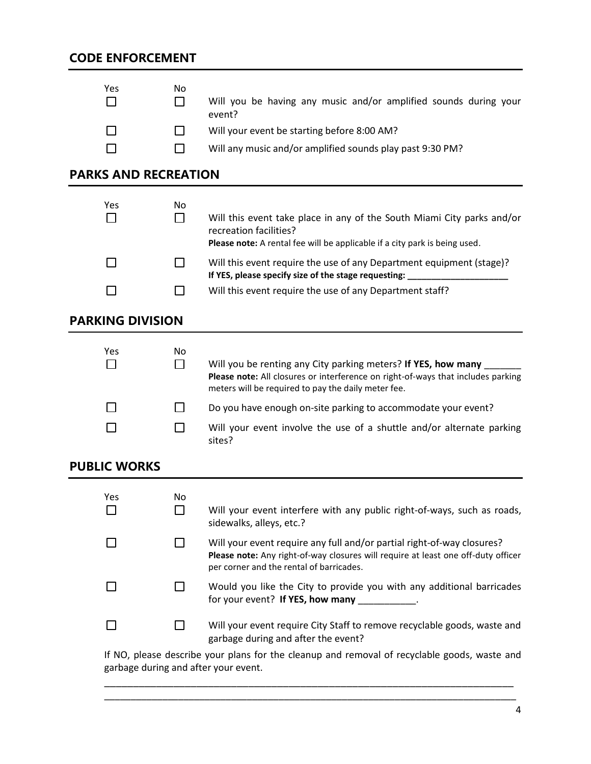| Yes                         | No<br>$\mathbf{I}$ | Will you be having any music and/or amplified sounds during your                                                                                                                                         |
|-----------------------------|--------------------|----------------------------------------------------------------------------------------------------------------------------------------------------------------------------------------------------------|
|                             |                    | event?<br>Will your event be starting before 8:00 AM?                                                                                                                                                    |
|                             |                    |                                                                                                                                                                                                          |
|                             |                    | Will any music and/or amplified sounds play past 9:30 PM?                                                                                                                                                |
| <b>PARKS AND RECREATION</b> |                    |                                                                                                                                                                                                          |
| Yes<br>$\blacksquare$       | No<br>П            | Will this event take place in any of the South Miami City parks and/or<br>recreation facilities?<br>Please note: A rental fee will be applicable if a city park is being used.                           |
|                             |                    | Will this event require the use of any Department equipment (stage)?<br>If YES, please specify size of the stage requesting:                                                                             |
|                             |                    | Will this event require the use of any Department staff?                                                                                                                                                 |
| <b>PARKING DIVISION</b>     |                    |                                                                                                                                                                                                          |
| Yes<br>$\mathsf{L}$         | No<br>П            | Will you be renting any City parking meters? If YES, how many<br>Please note: All closures or interference on right-of-ways that includes parking<br>meters will be required to pay the daily meter fee. |
|                             |                    | Do you have enough on-site parking to accommodate your event?                                                                                                                                            |
|                             |                    | Will your event involve the use of a shuttle and/or alternate parking<br>sites?                                                                                                                          |
| <b>PUBLIC WORKS</b>         |                    |                                                                                                                                                                                                          |
| Yes<br>□                    | No<br>$\Box$       | Will your event interfere with any public right-of-ways, such as roads,<br>sidewalks, alleys, etc.?                                                                                                      |
|                             | ΙI                 | Will your event require any full and/or partial right-of-way closures?<br>Please note: Any right-of-way closures will require at least one off-duty officer<br>per corner and the rental of barricades.  |
|                             |                    | Would you like the City to provide you with any additional barricades<br>for your event? If YES, how many __________.                                                                                    |
|                             | $\blacksquare$     | Will your event require City Staff to remove recyclable goods, waste and<br>garbage during and after the event?                                                                                          |

If NO, please describe your plans for the cleanup and removal of recyclable goods, waste and garbage during and after your event.

\_\_\_\_\_\_\_\_\_\_\_\_\_\_\_\_\_\_\_\_\_\_\_\_\_\_\_\_\_\_\_\_\_\_\_\_\_\_\_\_\_\_\_\_\_\_\_\_\_\_\_\_\_\_\_\_\_\_\_\_\_\_\_\_\_\_\_\_\_\_\_ \_\_\_\_\_\_\_\_\_\_\_\_\_\_\_\_\_\_\_\_\_\_\_\_\_\_\_\_\_\_\_\_\_\_\_\_\_\_\_\_\_\_\_\_\_\_\_\_\_\_\_\_\_\_\_\_\_\_\_\_\_\_\_\_\_\_\_\_\_\_\_\_\_\_\_\_\_\_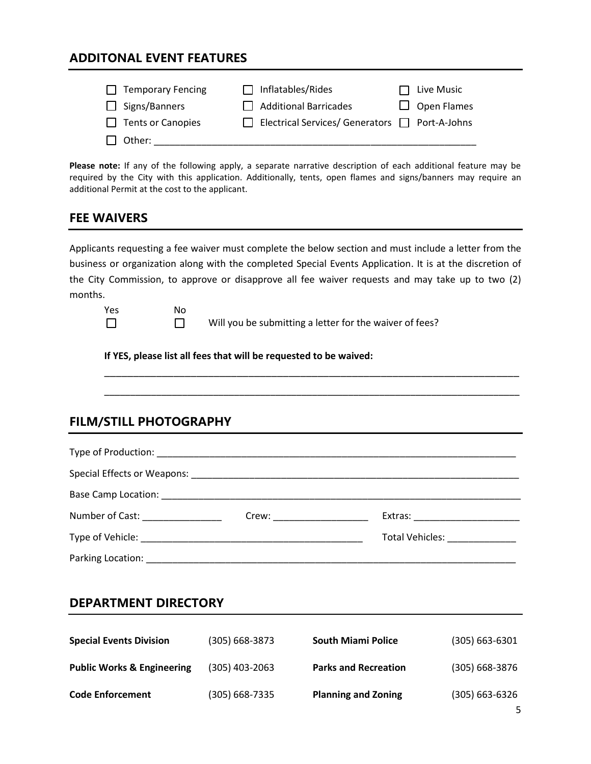### **ADDITONAL EVENT FEATURES**

| $\Box$ Temporary Fencing | $\Box$ Inflatables/Rides                                   | $\Box$ Live Music  |
|--------------------------|------------------------------------------------------------|--------------------|
| $\Box$ Signs/Banners     | $\Box$ Additional Barricades                               | $\Box$ Open Flames |
| $\Box$ Tents or Canopies | $\Box$ Electrical Services/ Generators $\Box$ Port-A-Johns |                    |
| $\Box$ Other:            |                                                            |                    |

**Please note:** If any of the following apply, a separate narrative description of each additional feature may be required by the City with this application. Additionally, tents, open flames and signs/banners may require an additional Permit at the cost to the applicant.

#### **FEE WAIVERS**

Applicants requesting a fee waiver must complete the below section and must include a letter from the business or organization along with the completed Special Events Application. It is at the discretion of the City Commission, to approve or disapprove all fee waiver requests and may take up to two (2) months.

| Yes    | N٥ |                 |
|--------|----|-----------------|
| $\Box$ |    | Will you be sub |

you be submitting a letter for the waiver of fees?

\_\_\_\_\_\_\_\_\_\_\_\_\_\_\_\_\_\_\_\_\_\_\_\_\_\_\_\_\_\_\_\_\_\_\_\_\_\_\_\_\_\_\_\_\_\_\_\_\_\_\_\_\_\_\_\_\_\_\_\_\_\_\_\_\_\_\_\_\_\_\_\_

**If YES, please list all fees that will be requested to be waived:**

#### **FILM/STILL PHOTOGRAPHY**

| Number of Cast: _________________ |  |                               |
|-----------------------------------|--|-------------------------------|
|                                   |  | Total Vehicles: _____________ |
|                                   |  |                               |

#### **DEPARTMENT DIRECTORY**

| <b>Special Events Division</b>        | (305) 668-3873 | <b>South Miami Police</b>   | $(305) 663 - 6301$ |
|---------------------------------------|----------------|-----------------------------|--------------------|
| <b>Public Works &amp; Engineering</b> | (305) 403-2063 | <b>Parks and Recreation</b> | $(305) 668 - 3876$ |
| <b>Code Enforcement</b>               | (305) 668-7335 | <b>Planning and Zoning</b>  | $(305) 663 - 6326$ |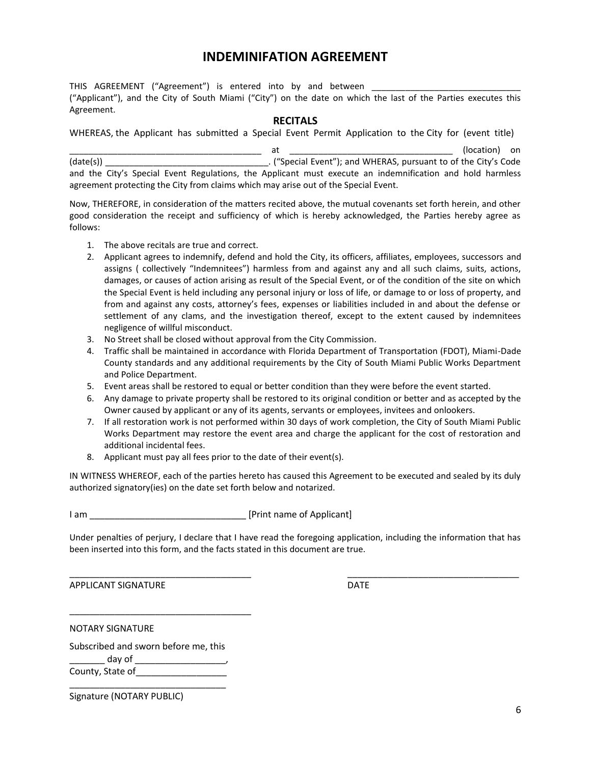# **INDEMINIFATION AGREEMENT**

THIS AGREEMENT ("Agreement") is entered into by and between ("Applicant"), and the City of South Miami ("City") on the date on which the last of the Parties executes this Agreement.

#### **RECITALS**

WHEREAS, the Applicant has submitted a Special Event Permit Application to the City for (event title)

|                                                                                                           | at |                                                                 | (location) on |
|-----------------------------------------------------------------------------------------------------------|----|-----------------------------------------------------------------|---------------|
| (data(s))                                                                                                 |    | . ("Special Event"); and WHERAS, pursuant to of the City's Code |               |
| and the City's Special Event Regulations, the Applicant must execute an indemnification and hold harmless |    |                                                                 |               |
| agreement protecting the City from claims which may arise out of the Special Event.                       |    |                                                                 |               |

Now, THEREFORE, in consideration of the matters recited above, the mutual covenants set forth herein, and other good consideration the receipt and sufficiency of which is hereby acknowledged, the Parties hereby agree as follows:

- 1. The above recitals are true and correct.
- 2. Applicant agrees to indemnify, defend and hold the City, its officers, affiliates, employees, successors and assigns ( collectively "Indemnitees") harmless from and against any and all such claims, suits, actions, damages, or causes of action arising as result of the Special Event, or of the condition of the site on which the Special Event is held including any personal injury or loss of life, or damage to or loss of property, and from and against any costs, attorney's fees, expenses or liabilities included in and about the defense or settlement of any clams, and the investigation thereof, except to the extent caused by indemnitees negligence of willful misconduct.
- 3. No Street shall be closed without approval from the City Commission.
- 4. Traffic shall be maintained in accordance with Florida Department of Transportation (FDOT), Miami-Dade County standards and any additional requirements by the City of South Miami Public Works Department and Police Department.
- 5. Event areas shall be restored to equal or better condition than they were before the event started.
- 6. Any damage to private property shall be restored to its original condition or better and as accepted by the Owner caused by applicant or any of its agents, servants or employees, invitees and onlookers.
- 7. If all restoration work is not performed within 30 days of work completion, the City of South Miami Public Works Department may restore the event area and charge the applicant for the cost of restoration and additional incidental fees.
- 8. Applicant must pay all fees prior to the date of their event(s).

IN WITNESS WHEREOF, each of the parties hereto has caused this Agreement to be executed and sealed by its duly authorized signatory(ies) on the date set forth below and notarized.

I am \_\_\_\_\_\_\_\_\_\_\_\_\_\_\_\_\_\_\_\_\_\_\_\_\_\_\_\_\_\_\_ [Print name of Applicant]

Under penalties of perjury, I declare that I have read the foregoing application, including the information that has been inserted into this form, and the facts stated in this document are true.

\_\_\_\_\_\_\_\_\_\_\_\_\_\_\_\_\_\_\_\_\_\_\_\_\_\_\_\_\_\_\_\_\_\_\_\_ \_\_\_\_\_\_\_\_\_\_\_\_\_\_\_\_\_\_\_\_\_\_\_\_\_\_\_\_\_\_\_\_\_\_

APPLICANT SIGNATURE DATE

NOTARY SIGNATURE

Subscribed and sworn before me, this  $d$ ay of  $\Box$ County, State of

\_\_\_\_\_\_\_\_\_\_\_\_\_\_\_\_\_\_\_\_\_\_\_\_\_\_\_\_\_\_\_

\_\_\_\_\_\_\_\_\_\_\_\_\_\_\_\_\_\_\_\_\_\_\_\_\_\_\_\_\_\_\_\_\_\_\_\_

Signature (NOTARY PUBLIC)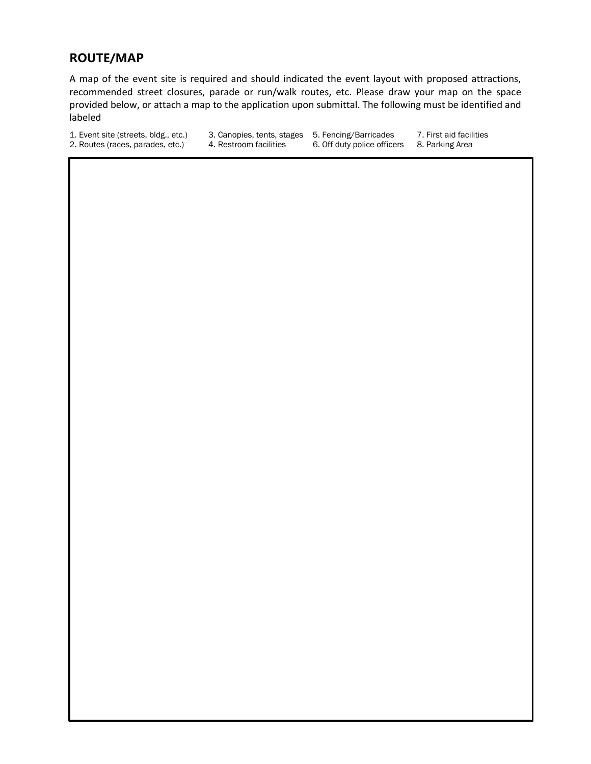### **ROUTE/MAP**

A map of the event site is required and should indicated the event layout with proposed attractions, recommended street closures, parade or run/walk routes, etc. Please draw your map on the space provided below, or attach a map to the application upon submittal. The following must be identified and labeled

1. Event site (streets, bldg., etc.) 3. Canopies, tents, stages 5. Fencing/Barricades 7. First aid facilities 2. Routes (races, parades, etc.) 4. Restroom facilities 6. Off duty police officers 8. Parking Area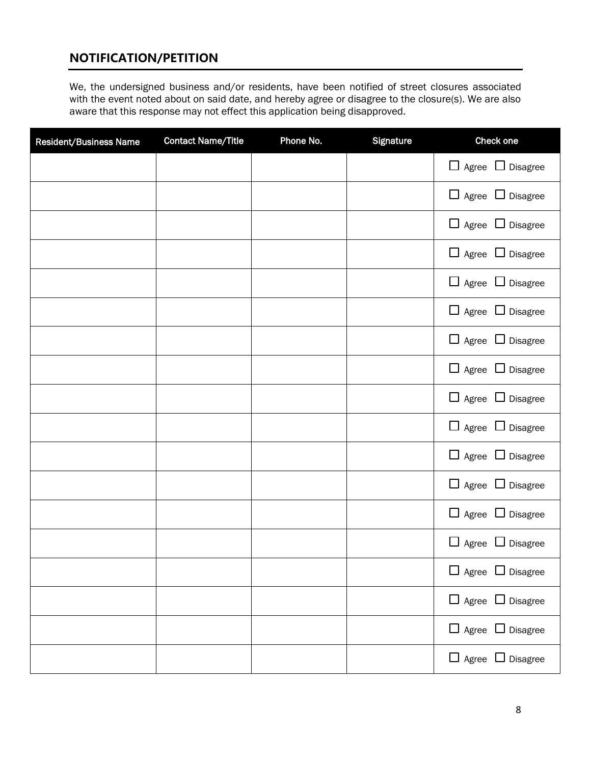# **NOTIFICATION/PETITION**

We, the undersigned business and/or residents, have been notified of street closures associated with the event noted about on said date, and hereby agree or disagree to the closure(s). We are also aware that this response may not effect this application being disapproved.

| <b>Resident/Business Name</b> | <b>Contact Name/Title</b> | Phone No. | Signature | Check one                    |
|-------------------------------|---------------------------|-----------|-----------|------------------------------|
|                               |                           |           |           | $\Box$ Agree $\Box$ Disagree |
|                               |                           |           |           | $\Box$ Agree $\Box$ Disagree |
|                               |                           |           |           | $\Box$ Agree $\Box$ Disagree |
|                               |                           |           |           | $\Box$ Agree $\Box$ Disagree |
|                               |                           |           |           | $\Box$ Agree $\Box$ Disagree |
|                               |                           |           |           | $\Box$ Agree $\Box$ Disagree |
|                               |                           |           |           | $\Box$ Agree $\Box$ Disagree |
|                               |                           |           |           | $\Box$ Agree $\Box$ Disagree |
|                               |                           |           |           | $\Box$ Agree $\Box$ Disagree |
|                               |                           |           |           | $\Box$ Agree $\Box$ Disagree |
|                               |                           |           |           | $\Box$ Agree $\Box$ Disagree |
|                               |                           |           |           | $\Box$ Agree $\Box$ Disagree |
|                               |                           |           |           | $\Box$ Agree $\Box$ Disagree |
|                               |                           |           |           | $\Box$ Agree $\Box$ Disagree |
|                               |                           |           |           | $\Box$ Agree $\Box$ Disagree |
|                               |                           |           |           | $\Box$ Agree $\Box$ Disagree |
|                               |                           |           |           | $\Box$ Agree $\Box$ Disagree |
|                               |                           |           |           | $\Box$ Agree $\Box$ Disagree |